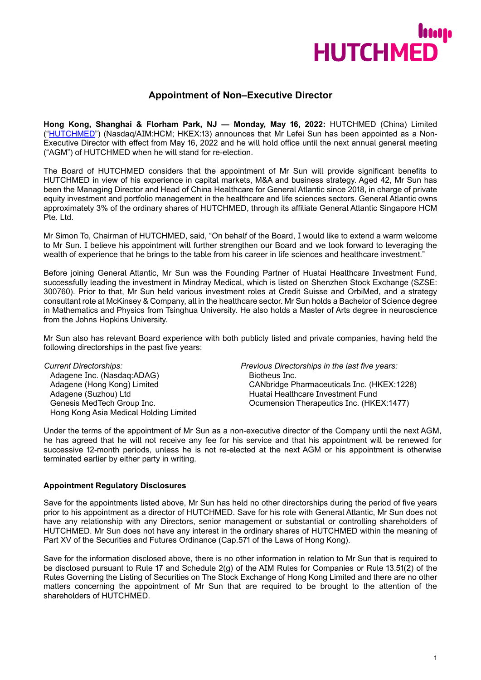

# **Appointment of Non–Executive Director**

**Hong Kong, Shanghai & Florham Park, NJ — Monday, May 16, 2022:** HUTCHMED (China) Limited (["HUTCHMED"](https://www.hutch-med.com/)) (Nasdaq/AIM:HCM; HKEX:13) announces that Mr Lefei Sun has been appointed as a Non-Executive Director with effect from May 16, 2022 and he will hold office until the next annual general meeting ("AGM") of HUTCHMED when he will stand for re-election.

The Board of HUTCHMED considers that the appointment of Mr Sun will provide significant benefits to HUTCHMED in view of his experience in capital markets, M&A and business strategy. Aged 42, Mr Sun has been the Managing Director and Head of China Healthcare for General Atlantic since 2018, in charge of private equity investment and portfolio management in the healthcare and life sciences sectors. General Atlantic owns approximately 3% of the ordinary shares of HUTCHMED, through its affiliate General Atlantic Singapore HCM Pte. Ltd.

Mr Simon To, Chairman of HUTCHMED, said, "On behalf of the Board, I would like to extend a warm welcome to Mr Sun. I believe his appointment will further strengthen our Board and we look forward to leveraging the wealth of experience that he brings to the table from his career in life sciences and healthcare investment."

Before joining General Atlantic, Mr Sun was the Founding Partner of Huatai Healthcare Investment Fund, successfully leading the investment in Mindray Medical, which is listed on Shenzhen Stock Exchange (SZSE: 300760). Prior to that, Mr Sun held various investment roles at Credit Suisse and OrbiMed, and a strategy consultant role at McKinsey & Company, all in the healthcare sector. Mr Sun holds a Bachelor of Science degree in Mathematics and Physics from Tsinghua University. He also holds a Master of Arts degree in neuroscience from the Johns Hopkins University.

Mr Sun also has relevant Board experience with both publicly listed and private companies, having held the following directorships in the past five years:

Adagene Inc. (Nasdaq:ADAG)<br>Adagene (Hong Kong) Limited Adagene (Suzhou) Ltd **Huatai Healthcare Investment Fund** Hong Kong Asia Medical Holding Limited

*Current Directorships: Previous Directorships in the last five years:* CANbridge Pharmaceuticals Inc. (HKEX:1228) Genesis MedTech Group Inc. Ocumension Therapeutics Inc. (HKEX:1477)

Under the terms of the appointment of Mr Sun as a non-executive director of the Company until the next AGM, he has agreed that he will not receive any fee for his service and that his appointment will be renewed for successive 12-month periods, unless he is not re-elected at the next AGM or his appointment is otherwise terminated earlier by either party in writing.

# **Appointment Regulatory Disclosures**

Save for the appointments listed above, Mr Sun has held no other directorships during the period of five years prior to his appointment as a director of HUTCHMED. Save for his role with General Atlantic, Mr Sun does not have any relationship with any Directors, senior management or substantial or controlling shareholders of HUTCHMED. Mr Sun does not have any interest in the ordinary shares of HUTCHMED within the meaning of Part XV of the Securities and Futures Ordinance (Cap.571 of the Laws of Hong Kong).

Save for the information disclosed above, there is no other information in relation to Mr Sun that is required to be disclosed pursuant to Rule 17 and Schedule 2(g) of the AIM Rules for Companies or Rule 13.51(2) of the Rules Governing the Listing of Securities on The Stock Exchange of Hong Kong Limited and there are no other matters concerning the appointment of Mr Sun that are required to be brought to the attention of the shareholders of HUTCHMED.